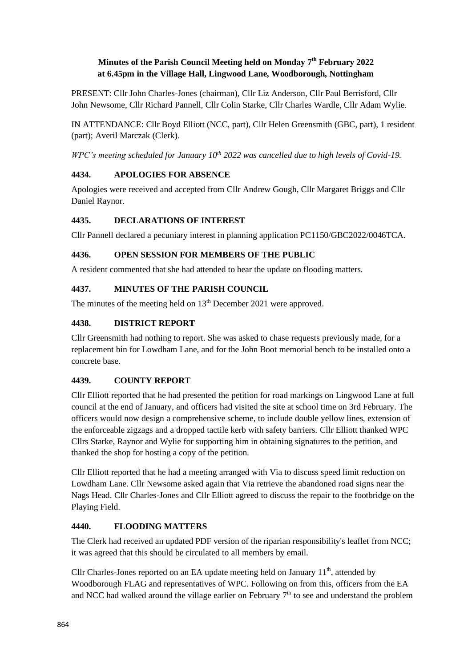# **Minutes of the Parish Council Meeting held on Monday 7 th February 2022 at 6.45pm in the Village Hall, Lingwood Lane, Woodborough, Nottingham**

PRESENT: Cllr John Charles-Jones (chairman), Cllr Liz Anderson, Cllr Paul Berrisford, Cllr John Newsome, Cllr Richard Pannell, Cllr Colin Starke, Cllr Charles Wardle, Cllr Adam Wylie.

IN ATTENDANCE: Cllr Boyd Elliott (NCC, part), Cllr Helen Greensmith (GBC, part), 1 resident (part); Averil Marczak (Clerk).

*WPC's meeting scheduled for January 10th 2022 was cancelled due to high levels of Covid-19.*

# **4434. APOLOGIES FOR ABSENCE**

Apologies were received and accepted from Cllr Andrew Gough, Cllr Margaret Briggs and Cllr Daniel Raynor.

# **4435. DECLARATIONS OF INTEREST**

Cllr Pannell declared a pecuniary interest in planning application PC1150/GBC2022/0046TCA.

### **4436. OPEN SESSION FOR MEMBERS OF THE PUBLIC**

A resident commented that she had attended to hear the update on flooding matters.

# **4437. MINUTES OF THE PARISH COUNCIL**

The minutes of the meeting held on  $13<sup>th</sup>$  December 2021 were approved.

### **4438. DISTRICT REPORT**

Cllr Greensmith had nothing to report. She was asked to chase requests previously made, for a replacement bin for Lowdham Lane, and for the John Boot memorial bench to be installed onto a concrete base.

# **4439. COUNTY REPORT**

Cllr Elliott reported that he had presented the petition for road markings on Lingwood Lane at full council at the end of January, and officers had visited the site at school time on 3rd February. The officers would now design a comprehensive scheme, to include double yellow lines, extension of the enforceable zigzags and a dropped tactile kerb with safety barriers. Cllr Elliott thanked WPC Cllrs Starke, Raynor and Wylie for supporting him in obtaining signatures to the petition, and thanked the shop for hosting a copy of the petition.

Cllr Elliott reported that he had a meeting arranged with Via to discuss speed limit reduction on Lowdham Lane. Cllr Newsome asked again that Via retrieve the abandoned road signs near the Nags Head. Cllr Charles-Jones and Cllr Elliott agreed to discuss the repair to the footbridge on the Playing Field.

# **4440. FLOODING MATTERS**

The Clerk had received an updated PDF version of the riparian responsibility's leaflet from NCC; it was agreed that this should be circulated to all members by email.

Cllr Charles-Jones reported on an EA update meeting held on January  $11<sup>th</sup>$ , attended by Woodborough FLAG and representatives of WPC. Following on from this, officers from the EA and NCC had walked around the village earlier on February  $7<sup>th</sup>$  to see and understand the problem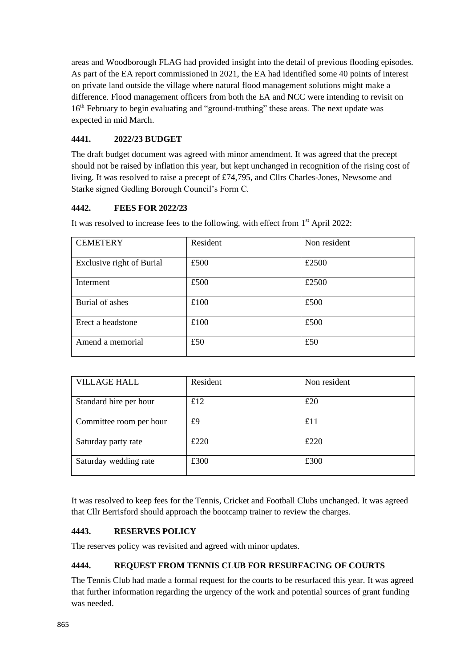areas and Woodborough FLAG had provided insight into the detail of previous flooding episodes. As part of the EA report commissioned in 2021, the EA had identified some 40 points of interest on private land outside the village where natural flood management solutions might make a difference. Flood management officers from both the EA and NCC were intending to revisit on 16<sup>th</sup> February to begin evaluating and "ground-truthing" these areas. The next update was expected in mid March.

# **4441. 2022/23 BUDGET**

The draft budget document was agreed with minor amendment. It was agreed that the precept should not be raised by inflation this year, but kept unchanged in recognition of the rising cost of living. It was resolved to raise a precept of £74,795, and Cllrs Charles-Jones, Newsome and Starke signed Gedling Borough Council's Form C.

# **4442. FEES FOR 2022/23**

It was resolved to increase fees to the following, with effect from  $1<sup>st</sup>$  April 2022:

| <b>CEMETERY</b>           | Resident | Non resident |
|---------------------------|----------|--------------|
| Exclusive right of Burial | £500     | £2500        |
| Interment                 | £500     | £2500        |
| Burial of ashes           | £100     | £500         |
| Erect a headstone         | £100     | £500         |
| Amend a memorial          | £50      | £50          |

| <b>VILLAGE HALL</b>     | Resident | Non resident |
|-------------------------|----------|--------------|
| Standard hire per hour  | £12      | £20          |
| Committee room per hour | £9       | £11          |
| Saturday party rate     | £220     | £220         |
| Saturday wedding rate   | £300     | £300         |

It was resolved to keep fees for the Tennis, Cricket and Football Clubs unchanged. It was agreed that Cllr Berrisford should approach the bootcamp trainer to review the charges.

### **4443. RESERVES POLICY**

The reserves policy was revisited and agreed with minor updates.

# **4444. REQUEST FROM TENNIS CLUB FOR RESURFACING OF COURTS**

The Tennis Club had made a formal request for the courts to be resurfaced this year. It was agreed that further information regarding the urgency of the work and potential sources of grant funding was needed.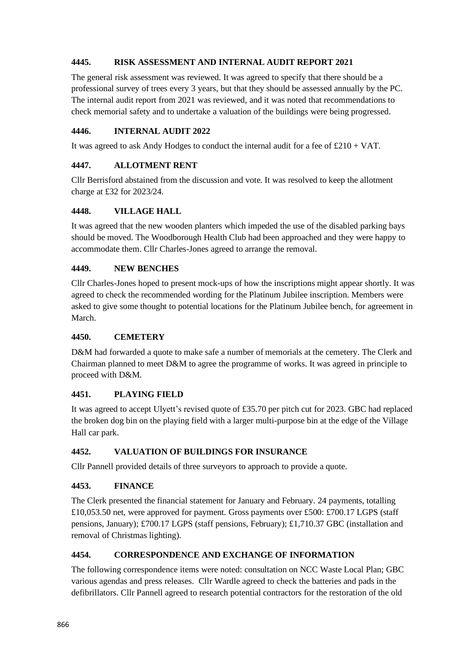### **4445. RISK ASSESSMENT AND INTERNAL AUDIT REPORT 2021**

The general risk assessment was reviewed. It was agreed to specify that there should be a professional survey of trees every 3 years, but that they should be assessed annually by the PC. The internal audit report from 2021 was reviewed, and it was noted that recommendations to check memorial safety and to undertake a valuation of the buildings were being progressed.

#### **4446. INTERNAL AUDIT 2022**

It was agreed to ask Andy Hodges to conduct the internal audit for a fee of  $\text{\pounds}210 + \text{VAT}$ .

### **4447. ALLOTMENT RENT**

Cllr Berrisford abstained from the discussion and vote. It was resolved to keep the allotment charge at £32 for 2023/24.

#### **4448. VILLAGE HALL**

It was agreed that the new wooden planters which impeded the use of the disabled parking bays should be moved. The Woodborough Health Club had been approached and they were happy to accommodate them. Cllr Charles-Jones agreed to arrange the removal.

#### **4449. NEW BENCHES**

Cllr Charles-Jones hoped to present mock-ups of how the inscriptions might appear shortly. It was agreed to check the recommended wording for the Platinum Jubilee inscription. Members were asked to give some thought to potential locations for the Platinum Jubilee bench, for agreement in March.

#### **4450. CEMETERY**

D&M had forwarded a quote to make safe a number of memorials at the cemetery. The Clerk and Chairman planned to meet D&M to agree the programme of works. It was agreed in principle to proceed with D&M.

### **4451. PLAYING FIELD**

It was agreed to accept Ulyett's revised quote of £35.70 per pitch cut for 2023. GBC had replaced the broken dog bin on the playing field with a larger multi-purpose bin at the edge of the Village Hall car park.

### **4452. VALUATION OF BUILDINGS FOR INSURANCE**

Cllr Pannell provided details of three surveyors to approach to provide a quote.

### **4453. FINANCE**

The Clerk presented the financial statement for January and February. 24 payments, totalling £10,053.50 net, were approved for payment. Gross payments over £500: £700.17 LGPS (staff pensions, January); £700.17 LGPS (staff pensions, February); £1,710.37 GBC (installation and removal of Christmas lighting).

### **4454. CORRESPONDENCE AND EXCHANGE OF INFORMATION**

The following correspondence items were noted: consultation on NCC Waste Local Plan; GBC various agendas and press releases. Cllr Wardle agreed to check the batteries and pads in the defibrillators. Cllr Pannell agreed to research potential contractors for the restoration of the old